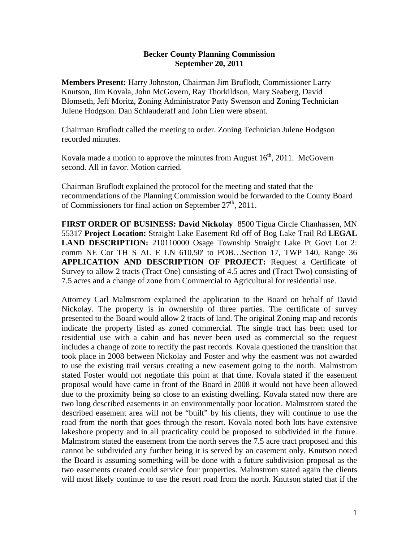## **Becker County Planning Commission September 20, 2011**

**Members Present:** Harry Johnston, Chairman Jim Bruflodt, Commissioner Larry Knutson, Jim Kovala, John McGovern, Ray Thorkildson, Mary Seaberg, David Blomseth, Jeff Moritz, Zoning Administrator Patty Swenson and Zoning Technician Julene Hodgson. Dan Schlauderaff and John Lien were absent.

Chairman Bruflodt called the meeting to order. Zoning Technician Julene Hodgson recorded minutes.

Kovala made a motion to approve the minutes from August  $16<sup>th</sup>$ , 2011. McGovern second. All in favor. Motion carried.

Chairman Bruflodt explained the protocol for the meeting and stated that the recommendations of the Planning Commission would be forwarded to the County Board of Commissioners for final action on September  $27<sup>th</sup>$ , 2011.

**FIRST ORDER OF BUSINESS: David Nickolay** 8500 Tigua Circle Chanhassen, MN 55317 **Project Location:** Straight Lake Easement Rd off of Bog Lake Trail Rd **LEGAL LAND DESCRIPTION:** 210110000 Osage Township Straight Lake Pt Govt Lot 2: comm NE Cor TH S AL E LN 610.50' to POB…Section 17, TWP 140, Range 36 **APPLICATION AND DESCRIPTION OF PROJECT:** Request a Certificate of Survey to allow 2 tracts (Tract One) consisting of 4.5 acres and (Tract Two) consisting of 7.5 acres and a change of zone from Commercial to Agricultural for residential use.

Attorney Carl Malmstrom explained the application to the Board on behalf of David Nickolay. The property is in ownership of three parties. The certificate of survey presented to the Board would allow 2 tracts of land. The original Zoning map and records indicate the property listed as zoned commercial. The single tract has been used for residential use with a cabin and has never been used as commercial so the request includes a change of zone to rectify the past records. Kovala questioned the transition that took place in 2008 between Nickolay and Foster and why the easment was not awarded to use the existing trail versus creating a new easement going to the north. Malmstrom stated Foster would not negotiate this point at that time. Kovala stated if the easement proposal would have came in front of the Board in 2008 it would not have been allowed due to the proximity being so close to an existing dwelling. Kovala stated now there are two long described easements in an environmentally poor location. Malmstrom stated the described easement area will not be "built" by his clients, they will continue to use the road from the north that goes through the resort. Kovala noted both lots have extensive lakeshore property and in all practicality could be proposed to subdivided in the future. Malmstrom stated the easement from the north serves the 7.5 acre tract proposed and this cannot be subdivided any further being it is served by an easement only. Knutson noted the Board is assuming something will be done with a future subdivision proposal as the two easements created could service four properties. Malmstrom stated again the clients will most likely continue to use the resort road from the north. Knutson stated that if the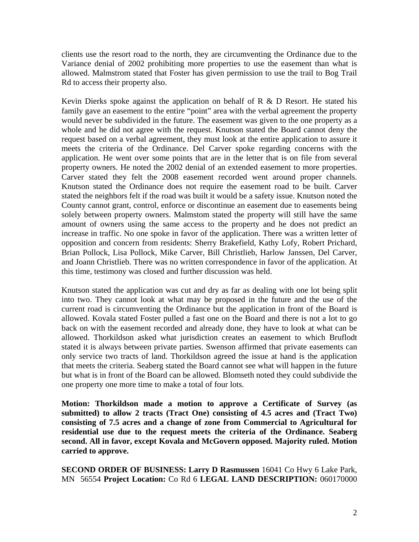clients use the resort road to the north, they are circumventing the Ordinance due to the Variance denial of 2002 prohibiting more properties to use the easement than what is allowed. Malmstrom stated that Foster has given permission to use the trail to Bog Trail Rd to access their property also.

Kevin Dierks spoke against the application on behalf of R & D Resort. He stated his family gave an easement to the entire "point" area with the verbal agreement the property would never be subdivided in the future. The easement was given to the one property as a whole and he did not agree with the request. Knutson stated the Board cannot deny the request based on a verbal agreement, they must look at the entire application to assure it meets the criteria of the Ordinance. Del Carver spoke regarding concerns with the application. He went over some points that are in the letter that is on file from several property owners. He noted the 2002 denial of an extended easement to more properties. Carver stated they felt the 2008 easement recorded went around proper channels. Knutson stated the Ordinance does not require the easement road to be built. Carver stated the neighbors felt if the road was built it would be a safety issue. Knutson noted the County cannot grant, control, enforce or discontinue an easement due to easements being solely between property owners. Malmstom stated the property will still have the same amount of owners using the same access to the property and he does not predict an increase in traffic. No one spoke in favor of the application. There was a written letter of opposition and concern from residents: Sherry Brakefield, Kathy Lofy, Robert Prichard, Brian Pollock, Lisa Pollock, Mike Carver, Bill Christlieb, Harlow Janssen, Del Carver, and Joann Christlieb. There was no written correspondence in favor of the application. At this time, testimony was closed and further discussion was held.

Knutson stated the application was cut and dry as far as dealing with one lot being split into two. They cannot look at what may be proposed in the future and the use of the current road is circumventing the Ordinance but the application in front of the Board is allowed. Kovala stated Foster pulled a fast one on the Board and there is not a lot to go back on with the easement recorded and already done, they have to look at what can be allowed. Thorkildson asked what jurisdiction creates an easement to which Bruflodt stated it is always between private parties. Swenson affirmed that private easements can only service two tracts of land. Thorkildson agreed the issue at hand is the application that meets the criteria. Seaberg stated the Board cannot see what will happen in the future but what is in front of the Board can be allowed. Blomseth noted they could subdivide the one property one more time to make a total of four lots.

**Motion: Thorkildson made a motion to approve a Certificate of Survey (as submitted) to allow 2 tracts (Tract One) consisting of 4.5 acres and (Tract Two) consisting of 7.5 acres and a change of zone from Commercial to Agricultural for residential use due to the request meets the criteria of the Ordinance. Seaberg second. All in favor, except Kovala and McGovern opposed. Majority ruled. Motion carried to approve.** 

**SECOND ORDER OF BUSINESS: Larry D Rasmussen** 16041 Co Hwy 6 Lake Park, MN 56554 **Project Location:** Co Rd 6 **LEGAL LAND DESCRIPTION:** 060170000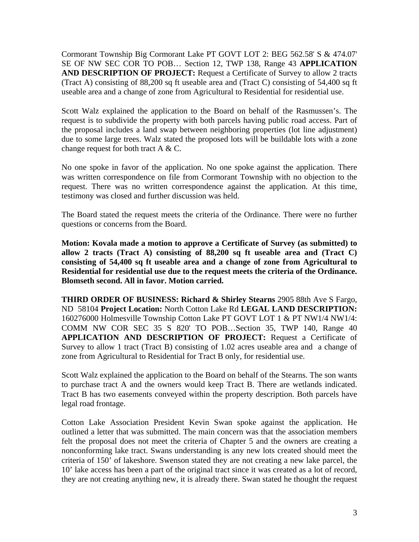Cormorant Township Big Cormorant Lake PT GOVT LOT 2: BEG 562.58' S & 474.07' SE OF NW SEC COR TO POB… Section 12, TWP 138, Range 43 **APPLICATION AND DESCRIPTION OF PROJECT:** Request a Certificate of Survey to allow 2 tracts (Tract A) consisting of 88,200 sq ft useable area and (Tract C) consisting of 54,400 sq ft useable area and a change of zone from Agricultural to Residential for residential use.

Scott Walz explained the application to the Board on behalf of the Rasmussen's. The request is to subdivide the property with both parcels having public road access. Part of the proposal includes a land swap between neighboring properties (lot line adjustment) due to some large trees. Walz stated the proposed lots will be buildable lots with a zone change request for both tract  $A \& C$ .

No one spoke in favor of the application. No one spoke against the application. There was written correspondence on file from Cormorant Township with no objection to the request. There was no written correspondence against the application. At this time, testimony was closed and further discussion was held.

The Board stated the request meets the criteria of the Ordinance. There were no further questions or concerns from the Board.

**Motion: Kovala made a motion to approve a Certificate of Survey (as submitted) to allow 2 tracts (Tract A) consisting of 88,200 sq ft useable area and (Tract C) consisting of 54,400 sq ft useable area and a change of zone from Agricultural to Residential for residential use due to the request meets the criteria of the Ordinance. Blomseth second. All in favor. Motion carried.** 

**THIRD ORDER OF BUSINESS: Richard & Shirley Stearns** 2905 88th Ave S Fargo, ND 58104 **Project Location:** North Cotton Lake Rd **LEGAL LAND DESCRIPTION:** 160276000 Holmesville Township Cotton Lake PT GOVT LOT 1 & PT NW1/4 NW1/4: COMM NW COR SEC 35 S 820' TO POB…Section 35, TWP 140, Range 40 **APPLICATION AND DESCRIPTION OF PROJECT:** Request a Certificate of Survey to allow 1 tract (Tract B) consisting of 1.02 acres useable area and a change of zone from Agricultural to Residential for Tract B only, for residential use.

Scott Walz explained the application to the Board on behalf of the Stearns. The son wants to purchase tract A and the owners would keep Tract B. There are wetlands indicated. Tract B has two easements conveyed within the property description. Both parcels have legal road frontage.

Cotton Lake Association President Kevin Swan spoke against the application. He outlined a letter that was submitted. The main concern was that the association members felt the proposal does not meet the criteria of Chapter 5 and the owners are creating a nonconforming lake tract. Swans understanding is any new lots created should meet the criteria of 150' of lakeshore. Swenson stated they are not creating a new lake parcel, the 10' lake access has been a part of the original tract since it was created as a lot of record, they are not creating anything new, it is already there. Swan stated he thought the request